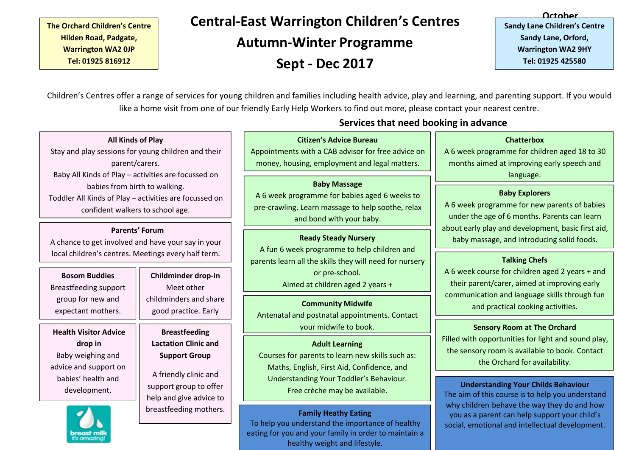### **The Orchard Children's Centre Hilden Road, Padgate, Warrington WA2 0JP Tel: 01925 816912**

**Theory Central-East Warrington Children's Centres Actober** *Centralidren's* Centre **Autumn-Winter Programme**

**Sept - Dec 2017**

**October Sandy Lane Children's Centre Sandy Lane, Orford, Warrington WA2 9HY Tel: 01925 425580**

like a home visit from one of our friendly Early Help Workers to find out more, please contact your nearest centre. Children's Centres offer a range of services for young children and families including health advice, play and learning, and parenting support. If you would

### **All Kinds of Play**

Stay and play sessions for young children and their parent/carers. Baby All Kinds of Play – activities are focussed on babies from birth to walking. Toddler All Kinds of Play – activities are focussed on confident walkers to school age.

### **Parents' Forum**

A chance to get involved and have your say in your local children's centres. Meetings every half term.

Breastfeeding support expectant mothers.

**Health Visitor Advice** Baby weighing and advice and support on babies' health and development.

**Bosom Buddies || Childminder drop-in | |** group for new and  $\Box$  childminders and share  $\Box$ Meet other good practice. Early

**drop in Lactation Clinic and Breastfeeding Support Group**

> A friendly clinic and support group to offer help and give advice to breastfeeding mothers.

# **Services that need booking in advance**

### **Citizen's Advice Bureau**

Appointments with a CAB advisor for free advice on **Citizen's Advice Bureau**<br>provintments with a CAB advisor for free advice on <br>money, housing, employment and legal matters.<br>months aimed at improving

### **Baby Massage**

A 6 week programme for babies aged 6 weeks to  $\Box$ pre-crawling. Learn massage to help soothe, relax vogramme for babies aged 6 weeks to<br>
g. Learn massage to help soothe, relax
and bond with your baby.<br>
and bond with your baby.
<br>
and bond with your baby. **Explorers Explorers Explorers Explorers Explorers Explore** 

A fun 6 week programme to help children and parents learn all the skills they will need for nursery or pre-school. Aimed at children aged 2 years +

Antenatal and postnatal appointments. Contact your midwife to book.

### **Adult Learning**

Courses for parents to learn new skills such as: Maths, English, First Aid, Confidence, and Understanding Your Toddler's Behaviour. Free crèche may be available.

### **Family Heathy Eating**

To help you understand the importance of healthy eating for you and your family in order to maintain a healthy weight and lifestyle.

A 6 week programme for children aged 18 to 30 months aimed at improving early speech and language.

A 6 week programme for new parents of babies about early play and development, basic first aid, **Ready Steady Nursery Ready Nursery has baby massage, and introducing solid foods.** 

### **Talking Chefs**

A 6 week course for children aged 2 years + and their parent/carer, aimed at improving early communication and language skills through fun **Community Midwife Community Midwife Community Midwife Community Midwife** 

### **Sensory Room at The Orchard**

Filled with opportunities for light and sound play, the sensory room is available to book. Contact the Orchard for availability.

### **Understanding Your Childs Behaviour**

The aim of this course is to help you understand why children behave the way they do and how you as a parent can help support your child's social, emotional and intellectual development.